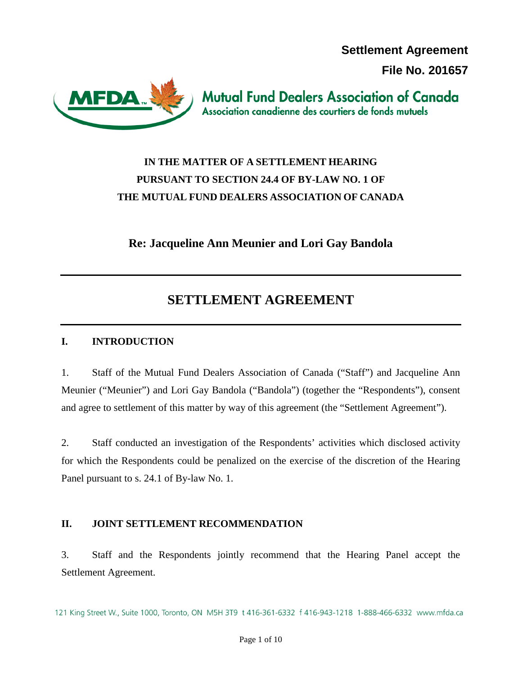**Settlement Agreement**

**File No. 201657**



**Mutual Fund Dealers Association of Canada** Association canadienne des courtiers de fonds mutuels

# **IN THE MATTER OF A SETTLEMENT HEARING PURSUANT TO SECTION 24.4 OF BY-LAW NO. 1 OF THE MUTUAL FUND DEALERS ASSOCIATION OF CANADA**

**Re: Jacqueline Ann Meunier and Lori Gay Bandola**

# **SETTLEMENT AGREEMENT**

## **I. INTRODUCTION**

1. Staff of the Mutual Fund Dealers Association of Canada ("Staff") and Jacqueline Ann Meunier ("Meunier") and Lori Gay Bandola ("Bandola") (together the "Respondents"), consent and agree to settlement of this matter by way of this agreement (the "Settlement Agreement").

2. Staff conducted an investigation of the Respondents' activities which disclosed activity for which the Respondents could be penalized on the exercise of the discretion of the Hearing Panel pursuant to s. 24.1 of By-law No. 1.

## **II. JOINT SETTLEMENT RECOMMENDATION**

3. Staff and the Respondents jointly recommend that the Hearing Panel accept the Settlement Agreement.

121 King Street W., Suite 1000, Toronto, ON M5H 3T9 t 416-361-6332 f 416-943-1218 1-888-466-6332 www.mfda.ca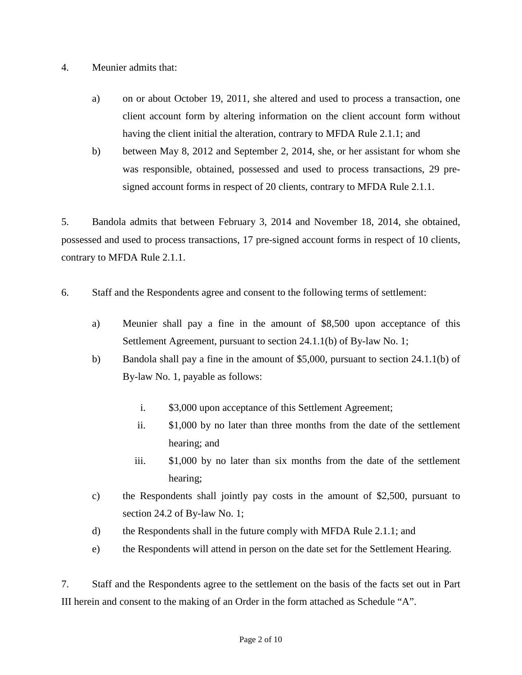### 4. Meunier admits that:

- a) on or about October 19, 2011, she altered and used to process a transaction, one client account form by altering information on the client account form without having the client initial the alteration, contrary to MFDA Rule 2.1.1; and
- b) between May 8, 2012 and September 2, 2014, she, or her assistant for whom she was responsible, obtained, possessed and used to process transactions, 29 presigned account forms in respect of 20 clients, contrary to MFDA Rule 2.1.1.

5. Bandola admits that between February 3, 2014 and November 18, 2014, she obtained, possessed and used to process transactions, 17 pre-signed account forms in respect of 10 clients, contrary to MFDA Rule 2.1.1.

- 6. Staff and the Respondents agree and consent to the following terms of settlement:
	- a) Meunier shall pay a fine in the amount of \$8,500 upon acceptance of this Settlement Agreement, pursuant to section 24.1.1(b) of By-law No. 1;
	- b) Bandola shall pay a fine in the amount of \$5,000, pursuant to section 24.1.1(b) of By-law No. 1, payable as follows:
		- i. \$3,000 upon acceptance of this Settlement Agreement;
		- ii. \$1,000 by no later than three months from the date of the settlement hearing; and
		- iii. \$1,000 by no later than six months from the date of the settlement hearing;
	- c) the Respondents shall jointly pay costs in the amount of \$2,500, pursuant to section 24.2 of By-law No. 1;
	- d) the Respondents shall in the future comply with MFDA Rule 2.1.1; and
	- e) the Respondents will attend in person on the date set for the Settlement Hearing.

7. Staff and the Respondents agree to the settlement on the basis of the facts set out in Part III herein and consent to the making of an Order in the form attached as Schedule "A".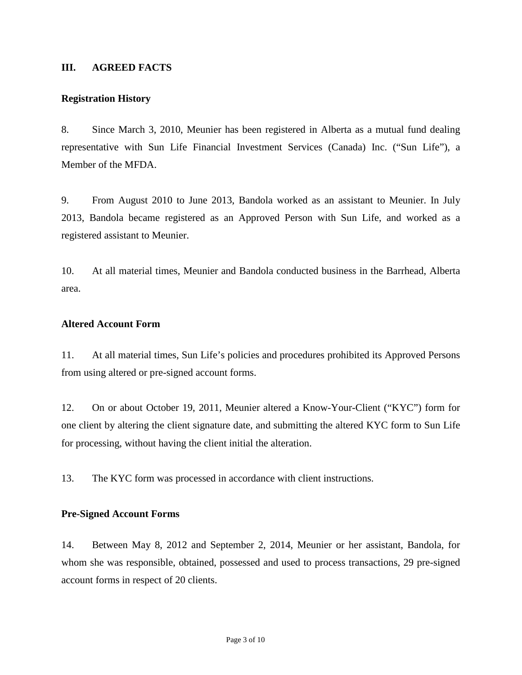#### **III. AGREED FACTS**

#### **Registration History**

8. Since March 3, 2010, Meunier has been registered in Alberta as a mutual fund dealing representative with Sun Life Financial Investment Services (Canada) Inc. ("Sun Life"), a Member of the MFDA.

9. From August 2010 to June 2013, Bandola worked as an assistant to Meunier. In July 2013, Bandola became registered as an Approved Person with Sun Life, and worked as a registered assistant to Meunier.

10. At all material times, Meunier and Bandola conducted business in the Barrhead, Alberta area.

#### **Altered Account Form**

11. At all material times, Sun Life's policies and procedures prohibited its Approved Persons from using altered or pre-signed account forms.

12. On or about October 19, 2011, Meunier altered a Know-Your-Client ("KYC") form for one client by altering the client signature date, and submitting the altered KYC form to Sun Life for processing, without having the client initial the alteration.

13. The KYC form was processed in accordance with client instructions.

#### **Pre-Signed Account Forms**

14. Between May 8, 2012 and September 2, 2014, Meunier or her assistant, Bandola, for whom she was responsible, obtained, possessed and used to process transactions, 29 pre-signed account forms in respect of 20 clients.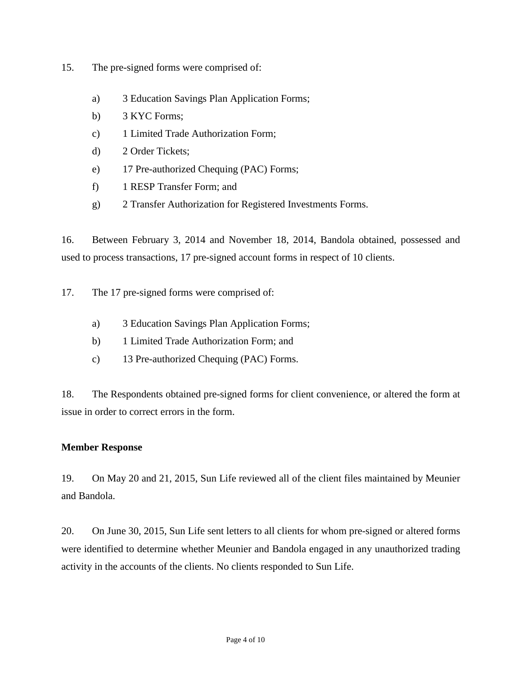- 15. The pre-signed forms were comprised of:
	- a) 3 Education Savings Plan Application Forms;
	- b) 3 KYC Forms;
	- c) 1 Limited Trade Authorization Form;
	- d) 2 Order Tickets;
	- e) 17 Pre-authorized Chequing (PAC) Forms;
	- f) 1 RESP Transfer Form; and
	- g) 2 Transfer Authorization for Registered Investments Forms.

16. Between February 3, 2014 and November 18, 2014, Bandola obtained, possessed and used to process transactions, 17 pre-signed account forms in respect of 10 clients.

17. The 17 pre-signed forms were comprised of:

- a) 3 Education Savings Plan Application Forms;
- b) 1 Limited Trade Authorization Form; and
- c) 13 Pre-authorized Chequing (PAC) Forms.

18. The Respondents obtained pre-signed forms for client convenience, or altered the form at issue in order to correct errors in the form.

#### **Member Response**

19. On May 20 and 21, 2015, Sun Life reviewed all of the client files maintained by Meunier and Bandola.

20. On June 30, 2015, Sun Life sent letters to all clients for whom pre-signed or altered forms were identified to determine whether Meunier and Bandola engaged in any unauthorized trading activity in the accounts of the clients. No clients responded to Sun Life.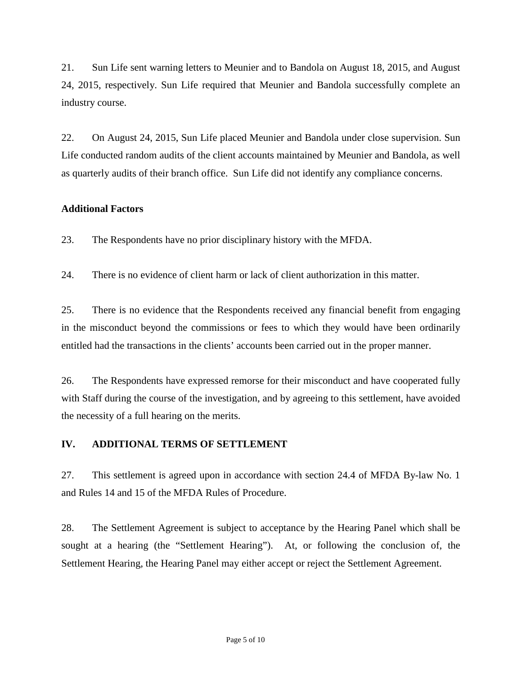21. Sun Life sent warning letters to Meunier and to Bandola on August 18, 2015, and August 24, 2015, respectively. Sun Life required that Meunier and Bandola successfully complete an industry course.

22. On August 24, 2015, Sun Life placed Meunier and Bandola under close supervision. Sun Life conducted random audits of the client accounts maintained by Meunier and Bandola, as well as quarterly audits of their branch office. Sun Life did not identify any compliance concerns.

## **Additional Factors**

23. The Respondents have no prior disciplinary history with the MFDA.

24. There is no evidence of client harm or lack of client authorization in this matter.

25. There is no evidence that the Respondents received any financial benefit from engaging in the misconduct beyond the commissions or fees to which they would have been ordinarily entitled had the transactions in the clients' accounts been carried out in the proper manner.

26. The Respondents have expressed remorse for their misconduct and have cooperated fully with Staff during the course of the investigation, and by agreeing to this settlement, have avoided the necessity of a full hearing on the merits.

## **IV. ADDITIONAL TERMS OF SETTLEMENT**

27. This settlement is agreed upon in accordance with section 24.4 of MFDA By-law No. 1 and Rules 14 and 15 of the MFDA Rules of Procedure.

28. The Settlement Agreement is subject to acceptance by the Hearing Panel which shall be sought at a hearing (the "Settlement Hearing"). At, or following the conclusion of, the Settlement Hearing, the Hearing Panel may either accept or reject the Settlement Agreement.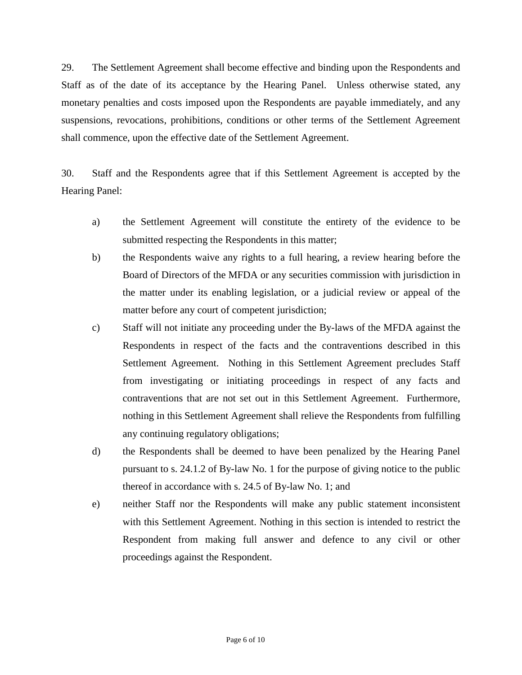29. The Settlement Agreement shall become effective and binding upon the Respondents and Staff as of the date of its acceptance by the Hearing Panel. Unless otherwise stated, any monetary penalties and costs imposed upon the Respondents are payable immediately, and any suspensions, revocations, prohibitions, conditions or other terms of the Settlement Agreement shall commence, upon the effective date of the Settlement Agreement.

30. Staff and the Respondents agree that if this Settlement Agreement is accepted by the Hearing Panel:

- a) the Settlement Agreement will constitute the entirety of the evidence to be submitted respecting the Respondents in this matter;
- b) the Respondents waive any rights to a full hearing, a review hearing before the Board of Directors of the MFDA or any securities commission with jurisdiction in the matter under its enabling legislation, or a judicial review or appeal of the matter before any court of competent jurisdiction;
- c) Staff will not initiate any proceeding under the By-laws of the MFDA against the Respondents in respect of the facts and the contraventions described in this Settlement Agreement. Nothing in this Settlement Agreement precludes Staff from investigating or initiating proceedings in respect of any facts and contraventions that are not set out in this Settlement Agreement. Furthermore, nothing in this Settlement Agreement shall relieve the Respondents from fulfilling any continuing regulatory obligations;
- d) the Respondents shall be deemed to have been penalized by the Hearing Panel pursuant to s. 24.1.2 of By-law No. 1 for the purpose of giving notice to the public thereof in accordance with s. 24.5 of By-law No. 1; and
- e) neither Staff nor the Respondents will make any public statement inconsistent with this Settlement Agreement. Nothing in this section is intended to restrict the Respondent from making full answer and defence to any civil or other proceedings against the Respondent.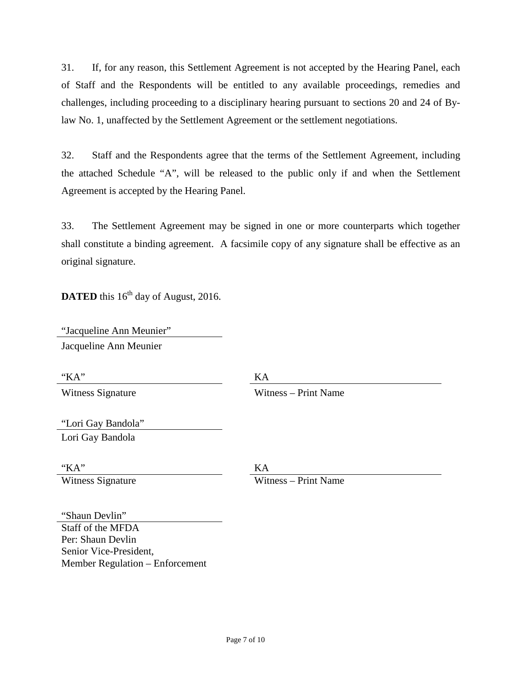31. If, for any reason, this Settlement Agreement is not accepted by the Hearing Panel, each of Staff and the Respondents will be entitled to any available proceedings, remedies and challenges, including proceeding to a disciplinary hearing pursuant to sections 20 and 24 of Bylaw No. 1, unaffected by the Settlement Agreement or the settlement negotiations.

32. Staff and the Respondents agree that the terms of the Settlement Agreement, including the attached Schedule "A", will be released to the public only if and when the Settlement Agreement is accepted by the Hearing Panel.

33. The Settlement Agreement may be signed in one or more counterparts which together shall constitute a binding agreement. A facsimile copy of any signature shall be effective as an original signature.

**DATED** this  $16^{th}$  day of August, 2016.

"Jacqueline Ann Meunier" Jacqueline Ann Meunier

"KA" KA

Witness Signature Witness – Print Name

"Lori Gay Bandola" Lori Gay Bandola

"KA" KA Witness Signature Witness – Print Name

"Shaun Devlin" Staff of the MFDA Per: Shaun Devlin Senior Vice-President, Member Regulation – Enforcement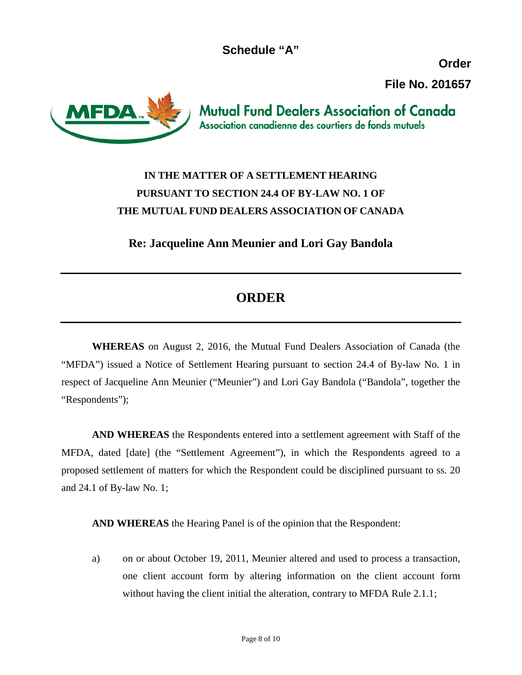**Schedule "A"**

**Order**

**File No. 201657**

**MFDA** 

**Mutual Fund Dealers Association of Canada** Association canadienne des courtiers de fonds mutuels

## **IN THE MATTER OF A SETTLEMENT HEARING PURSUANT TO SECTION 24.4 OF BY-LAW NO. 1 OF THE MUTUAL FUND DEALERS ASSOCIATION OF CANADA**

**Re: Jacqueline Ann Meunier and Lori Gay Bandola**

# **ORDER**

**WHEREAS** on August 2, 2016, the Mutual Fund Dealers Association of Canada (the "MFDA") issued a Notice of Settlement Hearing pursuant to section 24.4 of By-law No. 1 in respect of Jacqueline Ann Meunier ("Meunier") and Lori Gay Bandola ("Bandola", together the "Respondents");

**AND WHEREAS** the Respondents entered into a settlement agreement with Staff of the MFDA, dated [date] (the "Settlement Agreement"), in which the Respondents agreed to a proposed settlement of matters for which the Respondent could be disciplined pursuant to ss. 20 and 24.1 of By-law No. 1;

**AND WHEREAS** the Hearing Panel is of the opinion that the Respondent:

a) on or about October 19, 2011, Meunier altered and used to process a transaction, one client account form by altering information on the client account form without having the client initial the alteration, contrary to MFDA Rule 2.1.1;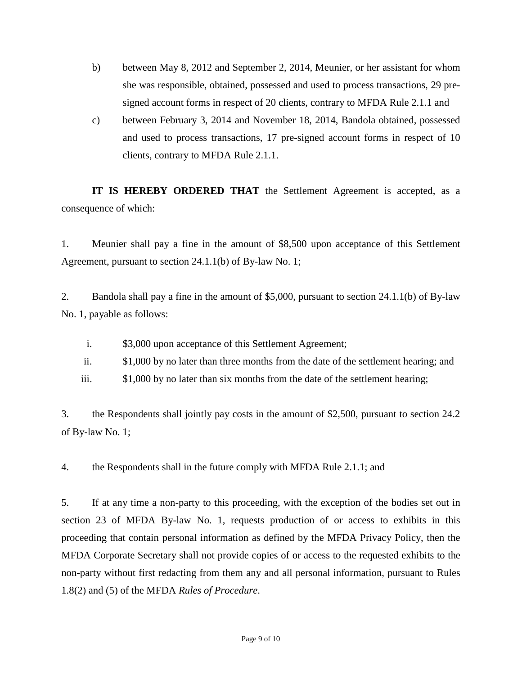- b) between May 8, 2012 and September 2, 2014, Meunier, or her assistant for whom she was responsible, obtained, possessed and used to process transactions, 29 presigned account forms in respect of 20 clients, contrary to MFDA Rule 2.1.1 and
- c) between February 3, 2014 and November 18, 2014, Bandola obtained, possessed and used to process transactions, 17 pre-signed account forms in respect of 10 clients, contrary to MFDA Rule 2.1.1.

**IT IS HEREBY ORDERED THAT** the Settlement Agreement is accepted, as a consequence of which:

1. Meunier shall pay a fine in the amount of \$8,500 upon acceptance of this Settlement Agreement, pursuant to section 24.1.1(b) of By-law No. 1;

2. Bandola shall pay a fine in the amount of \$5,000, pursuant to section 24.1.1(b) of By-law No. 1, payable as follows:

- i. \$3,000 upon acceptance of this Settlement Agreement;
- ii. \$1,000 by no later than three months from the date of the settlement hearing; and
- iii. \$1,000 by no later than six months from the date of the settlement hearing;

3. the Respondents shall jointly pay costs in the amount of \$2,500, pursuant to section 24.2 of By-law No. 1;

4. the Respondents shall in the future comply with MFDA Rule 2.1.1; and

5. If at any time a non-party to this proceeding, with the exception of the bodies set out in section 23 of MFDA By-law No. 1, requests production of or access to exhibits in this proceeding that contain personal information as defined by the MFDA Privacy Policy, then the MFDA Corporate Secretary shall not provide copies of or access to the requested exhibits to the non-party without first redacting from them any and all personal information, pursuant to Rules 1.8(2) and (5) of the MFDA *Rules of Procedure*.